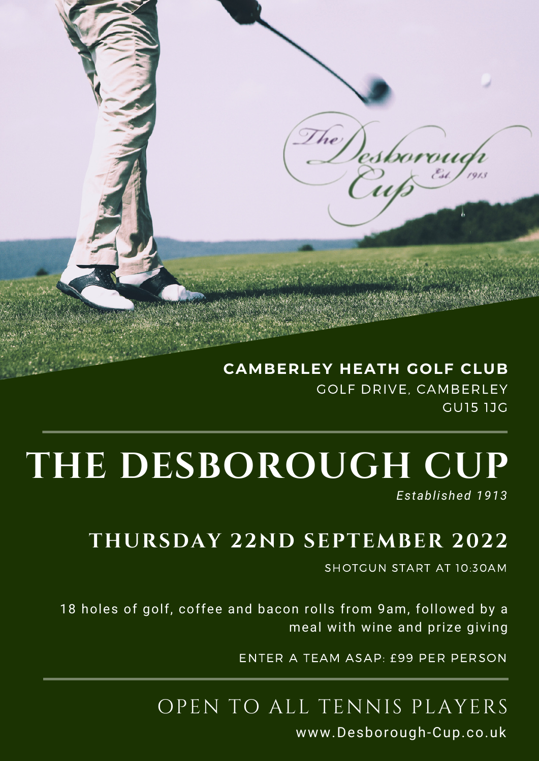## **CAMBERLEY HEATH GOLF CLUB** GOLF DRIVE, CAMBERLEY GU15 1JG

# **THE DESBOROUGH CUP**

*Established 1913*

# **THURSDAY 22ND SEPTEMBER 2022**

SHOTGUN START AT 10:30AM

18 holes of golf, coffee and bacon rolls from 9am, followed by a meal with wine and prize giving

ENTER A TEAM ASAP: £99 PER PERSON

# OPEN TO ALL TENNIS PLAYERS

www.Desborough-Cup.co.uk